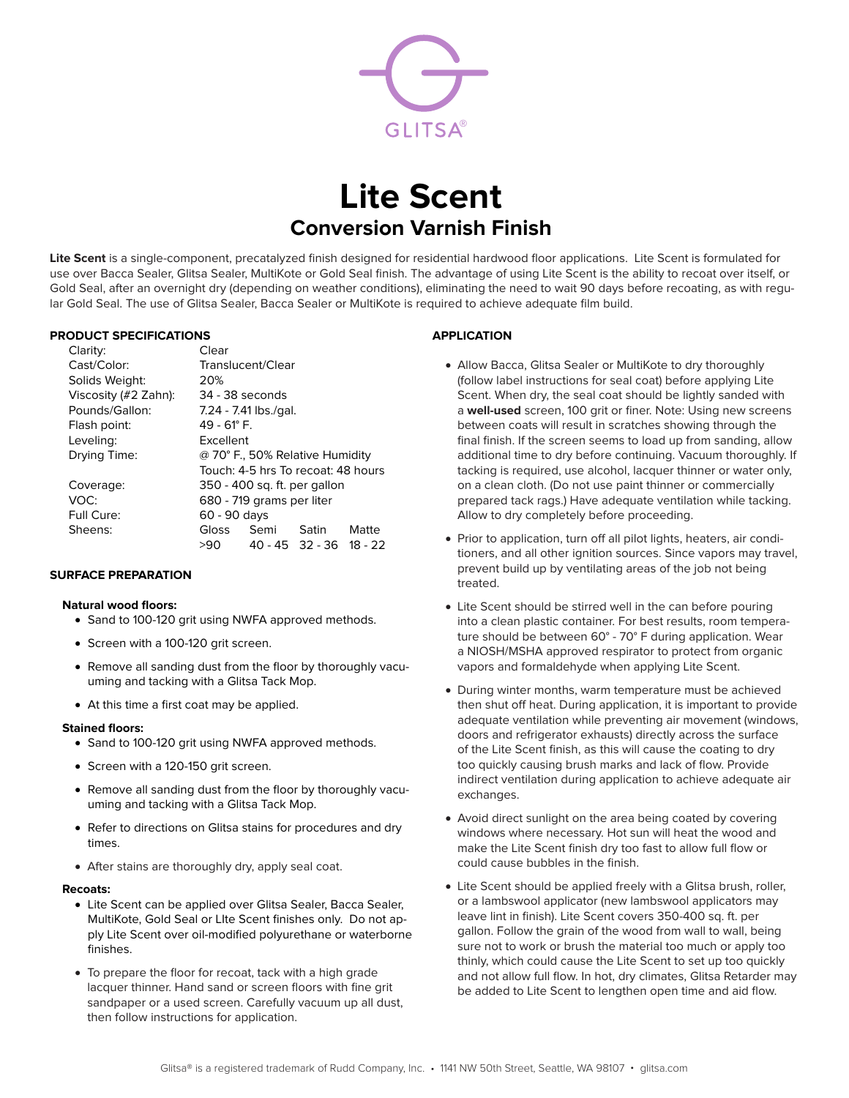

# **Lite Scent Conversion Varnish Finish**

**Lite Scent** is a single-component, precatalyzed finish designed for residential hardwood floor applications. Lite Scent is formulated for use over Bacca Sealer, Glitsa Sealer, MultiKote or Gold Seal finish. The advantage of using Lite Scent is the ability to recoat over itself, or Gold Seal, after an overnight dry (depending on weather conditions), eliminating the need to wait 90 days before recoating, as with regular Gold Seal. The use of Glitsa Sealer, Bacca Sealer or MultiKote is required to achieve adequate film build.

## **PRODUCT SPECIFICATIONS**

| Clarity:             | Clear                              |      |                         |       |
|----------------------|------------------------------------|------|-------------------------|-------|
| Cast/Color:          | Translucent/Clear                  |      |                         |       |
| Solids Weight:       | 20%                                |      |                         |       |
| Viscosity (#2 Zahn): | 34 - 38 seconds                    |      |                         |       |
| Pounds/Gallon:       | 7.24 - 7.41 lbs./gal.              |      |                         |       |
| Flash point:         | 49 - 61° F.                        |      |                         |       |
| Leveling:            | Excellent                          |      |                         |       |
| Drying Time:         | @ 70° F., 50% Relative Humidity    |      |                         |       |
|                      | Touch: 4-5 hrs To recoat: 48 hours |      |                         |       |
| Coverage:            | 350 - 400 sq. ft. per gallon       |      |                         |       |
| VOC:                 | 680 - 719 grams per liter          |      |                         |       |
| Full Cure:           | 60 - 90 days                       |      |                         |       |
| Sheens:              | Gloss                              | Semi | Satin                   | Matte |
|                      | >90                                |      | 40 - 45 32 - 36 18 - 22 |       |

#### **SURFACE PREPARATION**

#### **Natural wood floors:**

- Sand to 100-120 grit using NWFA approved methods.
- Screen with a 100-120 grit screen.
- Remove all sanding dust from the floor by thoroughly vacuuming and tacking with a Glitsa Tack Mop.
- At this time a first coat may be applied.

#### **Stained floors:**

- Sand to 100-120 grit using NWFA approved methods.
- Screen with a 120-150 grit screen.
- Remove all sanding dust from the floor by thoroughly vacuuming and tacking with a Glitsa Tack Mop.
- Refer to directions on Glitsa stains for procedures and dry times.
- • After stains are thoroughly dry, apply seal coat.

#### **Recoats:**

- Lite Scent can be applied over Glitsa Sealer, Bacca Sealer, MultiKote, Gold Seal or LIte Scent finishes only. Do not apply Lite Scent over oil-modified polyurethane or waterborne finishes.
- To prepare the floor for recoat, tack with a high grade lacquer thinner. Hand sand or screen floors with fine grit sandpaper or a used screen. Carefully vacuum up all dust, then follow instructions for application.

# **APPLICATION**

- Allow Bacca, Glitsa Sealer or MultiKote to dry thoroughly (follow label instructions for seal coat) before applying Lite Scent. When dry, the seal coat should be lightly sanded with a **well-used** screen, 100 grit or finer. Note: Using new screens between coats will result in scratches showing through the final finish. If the screen seems to load up from sanding, allow additional time to dry before continuing. Vacuum thoroughly. If tacking is required, use alcohol, lacquer thinner or water only, on a clean cloth. (Do not use paint thinner or commercially prepared tack rags.) Have adequate ventilation while tacking. Allow to dry completely before proceeding.
- Prior to application, turn off all pilot lights, heaters, air conditioners, and all other ignition sources. Since vapors may travel, prevent build up by ventilating areas of the job not being treated.
- Lite Scent should be stirred well in the can before pouring into a clean plastic container. For best results, room temperature should be between 60° - 70° F during application. Wear a NIOSH/MSHA approved respirator to protect from organic vapors and formaldehyde when applying Lite Scent.
- During winter months, warm temperature must be achieved then shut off heat. During application, it is important to provide adequate ventilation while preventing air movement (windows, doors and refrigerator exhausts) directly across the surface of the Lite Scent finish, as this will cause the coating to dry too quickly causing brush marks and lack of flow. Provide indirect ventilation during application to achieve adequate air exchanges.
- Avoid direct sunlight on the area being coated by covering windows where necessary. Hot sun will heat the wood and make the Lite Scent finish dry too fast to allow full flow or could cause bubbles in the finish.
- Lite Scent should be applied freely with a Glitsa brush, roller, or a lambswool applicator (new lambswool applicators may leave lint in finish). Lite Scent covers 350-400 sq. ft. per gallon. Follow the grain of the wood from wall to wall, being sure not to work or brush the material too much or apply too thinly, which could cause the Lite Scent to set up too quickly and not allow full flow. In hot, dry climates, Glitsa Retarder may be added to Lite Scent to lengthen open time and aid flow.